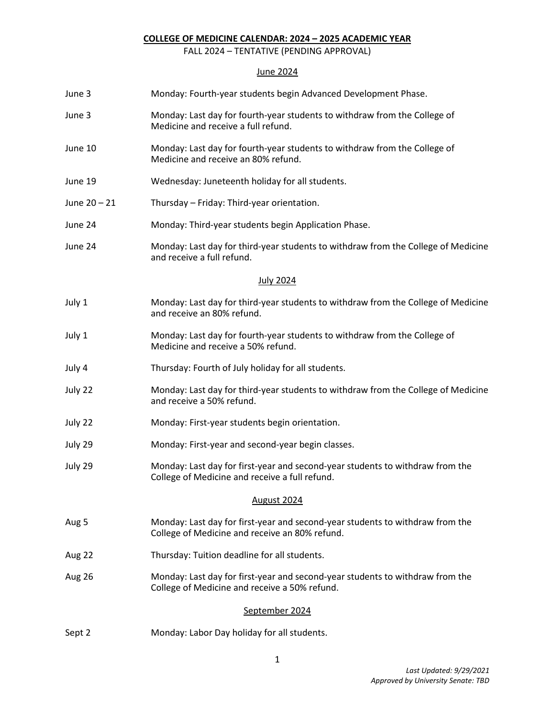### **COLLEGE OF MEDICINE CALENDAR: 2024 – 2025 ACADEMIC YEAR**

FALL 2024 – TENTATIVE (PENDING APPROVAL)

# June 2024

| June 3         | Monday: Fourth-year students begin Advanced Development Phase.                                                                  |  |  |  |  |
|----------------|---------------------------------------------------------------------------------------------------------------------------------|--|--|--|--|
| June 3         | Monday: Last day for fourth-year students to withdraw from the College of<br>Medicine and receive a full refund.                |  |  |  |  |
| June 10        | Monday: Last day for fourth-year students to withdraw from the College of<br>Medicine and receive an 80% refund.                |  |  |  |  |
| June 19        | Wednesday: Juneteenth holiday for all students.                                                                                 |  |  |  |  |
| June 20 - 21   | Thursday - Friday: Third-year orientation.                                                                                      |  |  |  |  |
| June 24        | Monday: Third-year students begin Application Phase.                                                                            |  |  |  |  |
| June 24        | Monday: Last day for third-year students to withdraw from the College of Medicine<br>and receive a full refund.                 |  |  |  |  |
|                | <b>July 2024</b>                                                                                                                |  |  |  |  |
| July 1         | Monday: Last day for third-year students to withdraw from the College of Medicine<br>and receive an 80% refund.                 |  |  |  |  |
| July 1         | Monday: Last day for fourth-year students to withdraw from the College of<br>Medicine and receive a 50% refund.                 |  |  |  |  |
| July 4         | Thursday: Fourth of July holiday for all students.                                                                              |  |  |  |  |
| July 22        | Monday: Last day for third-year students to withdraw from the College of Medicine<br>and receive a 50% refund.                  |  |  |  |  |
| July 22        | Monday: First-year students begin orientation.                                                                                  |  |  |  |  |
| July 29        | Monday: First-year and second-year begin classes.                                                                               |  |  |  |  |
| July 29        | Monday: Last day for first-year and second-year students to withdraw from the<br>College of Medicine and receive a full refund. |  |  |  |  |
| August 2024    |                                                                                                                                 |  |  |  |  |
| Aug 5          | Monday: Last day for first-year and second-year students to withdraw from the<br>College of Medicine and receive an 80% refund. |  |  |  |  |
| Aug 22         | Thursday: Tuition deadline for all students.                                                                                    |  |  |  |  |
| Aug 26         | Monday: Last day for first-year and second-year students to withdraw from the<br>College of Medicine and receive a 50% refund.  |  |  |  |  |
| September 2024 |                                                                                                                                 |  |  |  |  |
| Sept 2         | Monday: Labor Day holiday for all students.                                                                                     |  |  |  |  |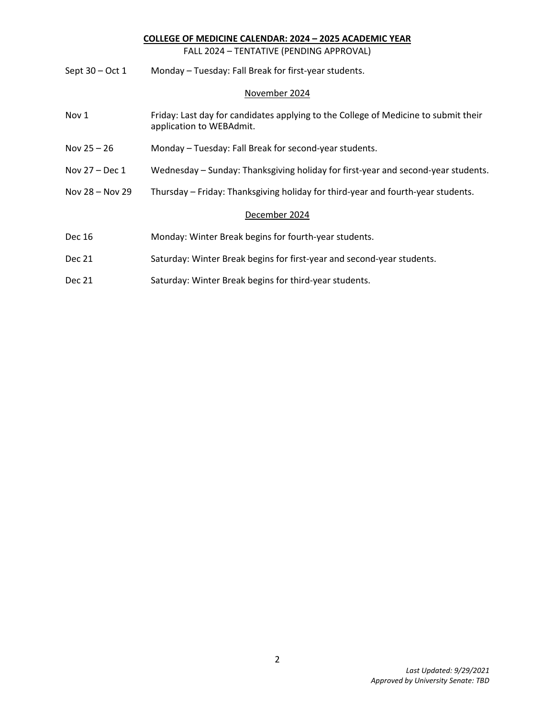# **COLLEGE OF MEDICINE CALENDAR: 2024 – 2025 ACADEMIC YEAR**

FALL 2024 – TENTATIVE (PENDING APPROVAL)

| Monday - Tuesday: Fall Break for first-year students.<br>Sept 30 – Oct 1 |
|--------------------------------------------------------------------------|
|--------------------------------------------------------------------------|

## November 2024

| Nov 1             | Friday: Last day for candidates applying to the College of Medicine to submit their<br>application to WEBAdmit. |  |  |  |
|-------------------|-----------------------------------------------------------------------------------------------------------------|--|--|--|
| Nov $25 - 26$     | Monday - Tuesday: Fall Break for second-year students.                                                          |  |  |  |
| Nov $27 - Dec 1$  | Wednesday – Sunday: Thanksgiving holiday for first-year and second-year students.                               |  |  |  |
| Nov $28 -$ Nov 29 | Thursday – Friday: Thanksgiving holiday for third-year and fourth-year students.                                |  |  |  |
| December 2024     |                                                                                                                 |  |  |  |
| Dec 16            | Monday: Winter Break begins for fourth-year students.                                                           |  |  |  |
| Dec 21            | Saturday: Winter Break begins for first-year and second-year students.                                          |  |  |  |
| <b>Dec 21</b>     | Saturday: Winter Break begins for third-year students.                                                          |  |  |  |